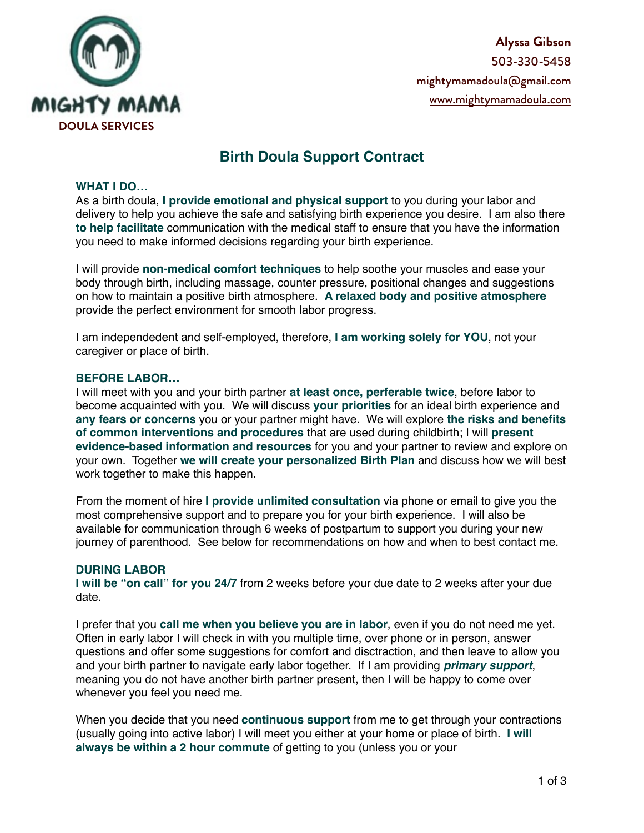

**Alyssa Gibson**  503-330-5458 [mightymamadoula@gmail.com](mailto:mightymamadoula@gmail.com) [www.mightymamadoula.com](http://www.mightymamadoula.com)

# **Birth Doula Support Contract**

#### **WHAT I DO…**

As a birth doula, **I provide emotional and physical support** to you during your labor and delivery to help you achieve the safe and satisfying birth experience you desire. I am also there **to help facilitate** communication with the medical staff to ensure that you have the information you need to make informed decisions regarding your birth experience.

I will provide **non-medical comfort techniques** to help soothe your muscles and ease your body through birth, including massage, counter pressure, positional changes and suggestions on how to maintain a positive birth atmosphere. **A relaxed body and positive atmosphere** provide the perfect environment for smooth labor progress.

I am independedent and self-employed, therefore, **I am working solely for YOU**, not your caregiver or place of birth.

#### **BEFORE LABOR…**

I will meet with you and your birth partner **at least once, perferable twice**, before labor to become acquainted with you. We will discuss **your priorities** for an ideal birth experience and **any fears or concerns** you or your partner might have. We will explore **the risks and benefits of common interventions and procedures** that are used during childbirth; I will **present evidence-based information and resources** for you and your partner to review and explore on your own. Together **we will create your personalized Birth Plan** and discuss how we will best work together to make this happen.

From the moment of hire **I provide unlimited consultation** via phone or email to give you the most comprehensive support and to prepare you for your birth experience. I will also be available for communication through 6 weeks of postpartum to support you during your new journey of parenthood. See below for recommendations on how and when to best contact me.

#### **DURING LABOR**

**I will be "on call" for you 24/7** from 2 weeks before your due date to 2 weeks after your due date.

I prefer that you **call me when you believe you are in labor**, even if you do not need me yet. Often in early labor I will check in with you multiple time, over phone or in person, answer questions and offer some suggestions for comfort and disctraction, and then leave to allow you and your birth partner to navigate early labor together. If I am providing *primary support*, meaning you do not have another birth partner present, then I will be happy to come over whenever you feel you need me.

When you decide that you need **continuous support** from me to get through your contractions (usually going into active labor) I will meet you either at your home or place of birth. **I will always be within a 2 hour commute** of getting to you (unless you or your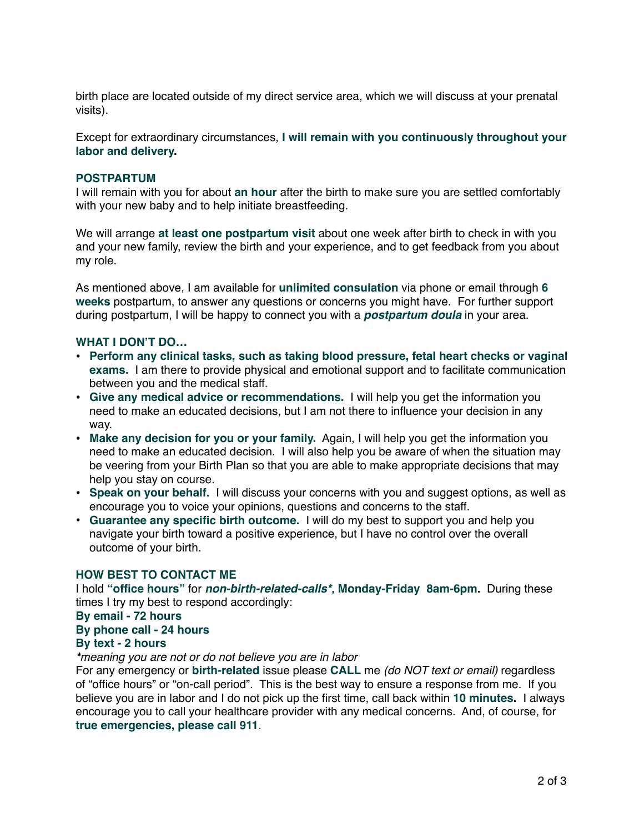birth place are located outside of my direct service area, which we will discuss at your prenatal visits).

Except for extraordinary circumstances, **I will remain with you continuously throughout your labor and delivery.**

#### **POSTPARTUM**

I will remain with you for about **an hour** after the birth to make sure you are settled comfortably with your new baby and to help initiate breastfeeding.

We will arrange **at least one postpartum visit** about one week after birth to check in with you and your new family, review the birth and your experience, and to get feedback from you about my role.

As mentioned above, I am available for **unlimited consulation** via phone or email through **6 weeks** postpartum, to answer any questions or concerns you might have. For further support during postpartum, I will be happy to connect you with a *postpartum doula* in your area.

#### **WHAT I DON'T DO…**

- **• Perform any clinical tasks, such as taking blood pressure, fetal heart checks or vaginal exams.** I am there to provide physical and emotional support and to facilitate communication between you and the medical staff.
- **Give any medical advice or recommendations.** I will help you get the information you need to make an educated decisions, but I am not there to influence your decision in any way.
- **• Make any decision for you or your family.** Again, I will help you get the information you need to make an educated decision. I will also help you be aware of when the situation may be veering from your Birth Plan so that you are able to make appropriate decisions that may help you stay on course.
- **• Speak on your behalf.** I will discuss your concerns with you and suggest options, as well as encourage you to voice your opinions, questions and concerns to the staff.
- **• Guarantee any specific birth outcome.** I will do my best to support you and help you navigate your birth toward a positive experience, but I have no control over the overall outcome of your birth.

#### **HOW BEST TO CONTACT ME**

I hold **"office hours"** for *non-birth-related-calls\*,* **Monday-Friday 8am-6pm.** During these times I try my best to respond accordingly:

## **By email - 72 hours**

### **By phone call - 24 hours**

#### **By text - 2 hours**

*\*meaning you are not or do not believe you are in labor*

For any emergency or **birth-related** issue please **CALL** me *(do NOT text or email)* regardless of "office hours" or "on-call period". This is the best way to ensure a response from me. If you believe you are in labor and I do not pick up the first time, call back within **10 minutes.** I always encourage you to call your healthcare provider with any medical concerns. And, of course, for **true emergencies, please call 911**.